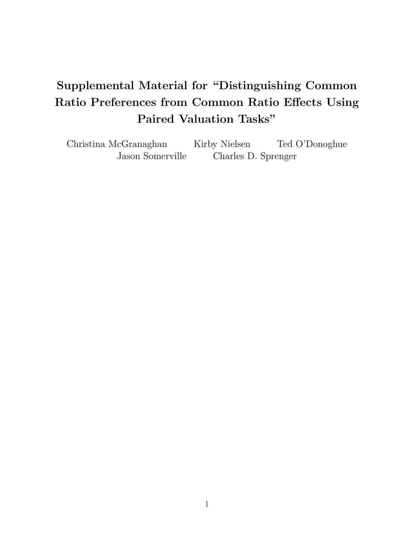# Supplemental Material for "Distinguishing Common Ratio Preferences from Common Ratio Effects Using Paired Valuation Tasks"

Christina McGranaghan Kirby Nielsen Ted O'Donoghue Jason Somerville Charles D. Sprenger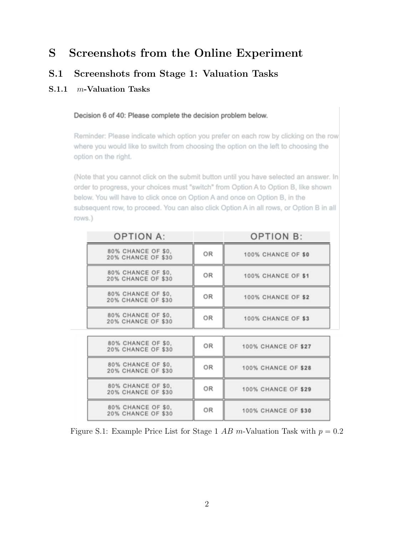## S Screenshots from the Online Experiment

### S.1 Screenshots from Stage 1: Valuation Tasks

### S.1.1 *m*-Valuation Tasks

#### Decision 6 of 40: Please complete the decision problem below.

Reminder: Please indicate which option you prefer on each row by clicking on the row where you would like to switch from choosing the option on the left to choosing the option on the right.

(Note that you cannot click on the submit button until you have selected an answer. In order to progress, your choices must "switch" from Option A to Option B, like shown below. You will have to click once on Option A and once on Option B, in the subsequent row, to proceed. You can also click Option A in all rows, or Option B in all rows.)

| <b>OPTION A:</b>                         |    | <b>OPTION B:</b>          |
|------------------------------------------|----|---------------------------|
| 80% CHANCE OF \$0,<br>20% CHANCE OF \$30 | OR | 100% CHANCE OF \$0        |
| 80% CHANCE OF \$0.<br>20% CHANCE OF \$30 | OR | <b>100% CHANCE OF \$1</b> |
| 80% CHANCE OF \$0.<br>20% CHANCE OF \$30 | 0R | <b>100% CHANCE OF \$2</b> |
| 80% CHANCE OF \$0.<br>20% CHANCE OF \$30 | OR | <b>100% CHANCE OF \$3</b> |
|                                          |    |                           |
| 80% CHANCE OF \$0.<br>20% CHANCE OF \$30 | OR | 100% CHANCE OF \$27       |
| 80% CHANCE OF \$0.<br>20% CHANCE OF \$30 | OR | 100% CHANCE OF \$28       |
| 80% CHANCE OF \$0.<br>20% CHANCE OF \$30 | OR | 100% CHANCE OF \$29       |
| 80% CHANCE OF \$0,<br>20% CHANCE OF \$30 | OR | 100% CHANCE OF \$30       |

Figure S.1: Example Price List for Stage 1 *AB m*-Valuation Task with  $p = 0.2$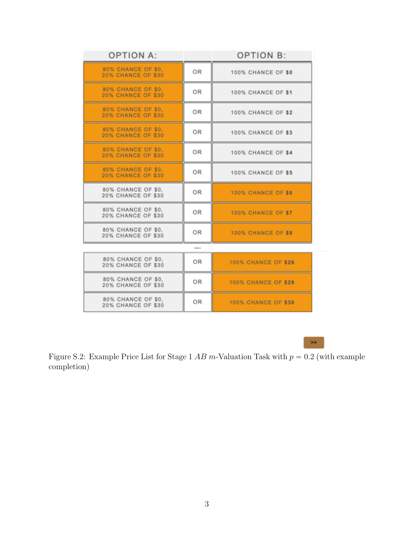| <b>OPTION A:</b>                                |    | <b>OPTION B:</b>           |  |  |
|-------------------------------------------------|----|----------------------------|--|--|
| 80% CHANCE OF \$0.<br><b>20% CHANCE OF \$30</b> | OR | 100% CHANCE OF \$0         |  |  |
| 80% CHANCE OF \$0.<br><b>20% CHANCE OF \$30</b> | OR | <b>100% CHANCE OF \$1</b>  |  |  |
| 80% CHANCE OF \$0.<br><b>20% CHANCE OF \$30</b> | OR | <b>100% CHANCE OF \$2</b>  |  |  |
| 80% CHANCE OF \$0.<br><b>20% CHANCE OF \$30</b> | OR | 100% CHANCE OF \$3         |  |  |
| 80% CHANCE OF \$0.<br><b>20% CHANCE OF \$30</b> | OR | <b>100% CHANCE OF \$4</b>  |  |  |
| 80% CHANCE OF \$0.<br><b>20% CHANCE OF \$30</b> | OR | <b>100% CHANCE OF \$5</b>  |  |  |
| 80% CHANCE OF \$0.<br>20% CHANCE OF \$30        | OR | 100% CHANCE OF \$6         |  |  |
| 80% CHANCE OF \$0.<br>20% CHANCE OF \$30        | OR | <b>100% CHANCE OF \$7</b>  |  |  |
| 80% CHANCE OF \$0.<br>20% CHANCE OF \$30        | OR | 100% CHANCE OF \$8         |  |  |
|                                                 |    |                            |  |  |
| 80% CHANCE OF \$0.<br>20% CHANCE OF \$30        | OR | <b>100% CHANCE OF \$28</b> |  |  |
| 80% CHANCE OF \$0.<br>20% CHANCE OF \$30        | OR | <b>100% CHANCE OF \$29</b> |  |  |
| 80% CHANCE OF \$0.<br>20% CHANCE OF \$30        | OR | <b>100% CHANCE OF \$30</b> |  |  |
|                                                 |    |                            |  |  |

 $\gg$ 

Figure S.2: Example Price List for Stage 1 *AB m*-Valuation Task with  $p = 0.2$  (with example completion)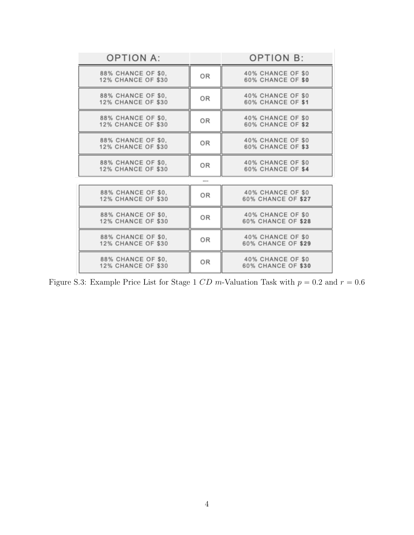| <b>OPTION A:</b>                                |    | <b>OPTION B:</b>                              |
|-------------------------------------------------|----|-----------------------------------------------|
| 88% CHANCE OF \$0.<br><b>12% CHANCE OF \$30</b> | OR | 40% CHANCE OF \$0<br>60% CHANCE OF \$0        |
| 88% CHANCE OF \$0,<br><b>12% CHANCE OF \$30</b> | OR | 40% CHANCE OF \$0<br><b>60% CHANCE OF \$1</b> |
| 88% CHANCE OF \$0,<br><b>12% CHANCE OF \$30</b> | 0R | 40% CHANCE OF \$0<br>60% CHANCE OF \$2        |
| 88% CHANCE OF \$0.<br><b>12% CHANCE OF \$30</b> | OR | 40% CHANCE OF \$0<br>60% CHANCE OF \$3        |
| 88% CHANCE OF \$0,<br><b>12% CHANCE OF \$30</b> | OR | 40% CHANCE OF \$0<br>60% CHANCE OF \$4        |
|                                                 |    |                                               |
| 88% CHANCE OF \$0.<br><b>12% CHANCE OF \$30</b> | OR | 40% CHANCE OF \$0<br>60% CHANCE OF \$27       |
| 88% CHANCE OF \$0.<br><b>12% CHANCE OF \$30</b> | OR | 40% CHANCE OF \$0<br>60% CHANCE OF \$28       |
| 88% CHANCE OF \$0.<br><b>12% CHANCE OF \$30</b> | OR | 40% CHANCE OF \$0<br>60% CHANCE OF \$29       |
| 88% CHANCE OF \$0.<br><b>12% CHANCE OF \$30</b> | OR | 40% CHANCE OF \$0<br>60% CHANCE OF \$30       |

Figure S.3: Example Price List for Stage 1 *CD* m-Valuation Task with  $p = 0.2$  and  $r = 0.6$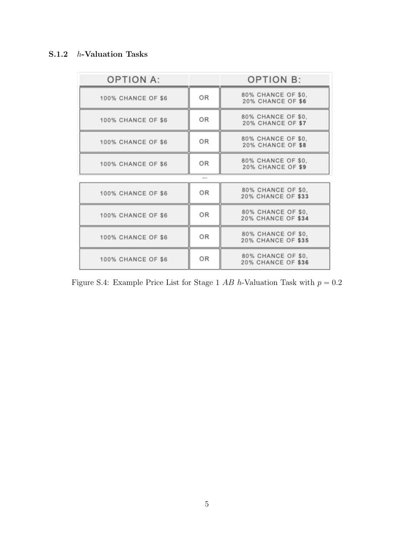### S.1.2 *h*-Valuation Tasks

| <b>OPTION A:</b>          |    | <b>OPTION B:</b>                                |
|---------------------------|----|-------------------------------------------------|
| 100% CHANCE OF \$6        | 0R | 80% CHANCE OF \$0.<br>20% CHANCE OF \$6         |
| 100% CHANCE OF \$6        | OR | 80% CHANCE OF \$0.<br><b>20% CHANCE OF \$7</b>  |
| 100% CHANCE OF \$6        | 0R | 80% CHANCE OF \$0,<br>20% CHANCE OF \$8         |
| 100% CHANCE OF \$6        | OR | 80% CHANCE OF \$0.<br>20% CHANCE OF \$9         |
|                           |    |                                                 |
| 100% CHANCE OF \$6        | OR | 80% CHANCE OF \$0.<br>20% CHANCE OF \$33        |
| <b>100% CHANCE OF \$6</b> | OR | 80% CHANCE OF \$0.<br><b>20% CHANCE OF \$34</b> |
| 100% CHANCE OF \$6        | OR | 80% CHANCE OF \$0.<br>20% CHANCE OF \$35        |
| <b>100% CHANCE OF \$6</b> | OR | 80% CHANCE OF \$0,<br><b>20% CHANCE OF \$36</b> |

Figure S.4: Example Price List for Stage 1  $AB$  h-Valuation Task with  $p = 0.2$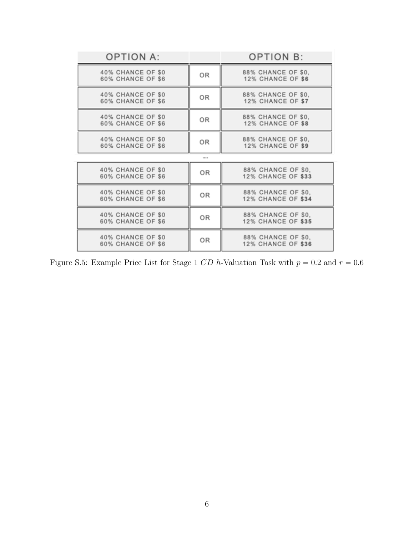| <b>OPTION A:</b>                       |    | <b>OPTION B:</b>                                |
|----------------------------------------|----|-------------------------------------------------|
| 40% CHANCE OF \$0<br>60% CHANCE OF \$6 | OR | 88% CHANCE OF \$0.<br>12% CHANCE OF \$6         |
| 40% CHANCE OF \$0<br>60% CHANCE OF \$6 | OR | 88% CHANCE OF \$0.<br>12% CHANCE OF \$7         |
| 40% CHANCE OF \$0<br>60% CHANCE OF \$6 | OR | 88% CHANCE OF \$0,<br>12% CHANCE OF \$8         |
| 40% CHANCE OF \$0<br>60% CHANCE OF \$6 | OR | 88% CHANCE OF \$0.<br>12% CHANCE OF \$9         |
|                                        |    |                                                 |
| 40% CHANCE OF \$0<br>60% CHANCE OF \$6 | OR | 88% CHANCE OF \$0,<br>12% CHANCE OF \$33        |
| 40% CHANCE OF \$0<br>60% CHANCE OF \$6 | OR | 88% CHANCE OF \$0,<br>12% CHANCE OF \$34        |
| 40% CHANCE OF \$0<br>60% CHANCE OF \$6 | OR | 88% CHANCE OF \$0,<br><b>12% CHANCE OF \$35</b> |
| 40% CHANCE OF \$0<br>60% CHANCE OF \$6 | OR | 88% CHANCE OF \$0,<br><b>12% CHANCE OF \$36</b> |

Figure S.5: Example Price List for Stage 1 *CD* h-Valuation Task with  $p = 0.2$  and  $r = 0.6$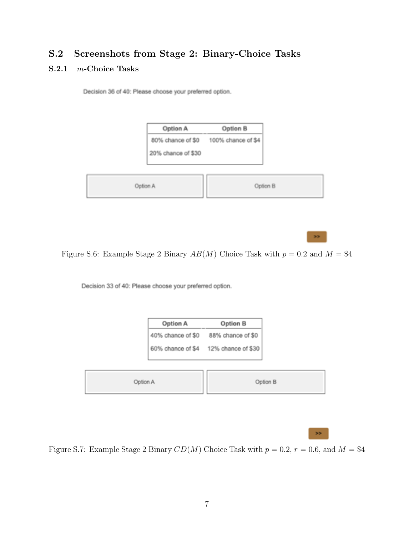### S.2 Screenshots from Stage 2: Binary-Choice Tasks

#### S.2.1 *m*-Choice Tasks

Decision 36 of 40: Please choose your preferred option.

| Option A           | Option B           |
|--------------------|--------------------|
| 80% chance of \$0  | 100% chance of \$4 |
| 20% chance of \$30 |                    |
|                    |                    |

Figure S.6: Example Stage 2 Binary  $AB(M)$  Choice Task with  $p = 0.2$  and  $M = $4$ 

Decision 33 of 40: Please choose your preferred option.



 $\geq$ 

×

Figure S.7: Example Stage 2 Binary  $CD(M)$  Choice Task with  $p = 0.2, r = 0.6$ , and  $M = $4$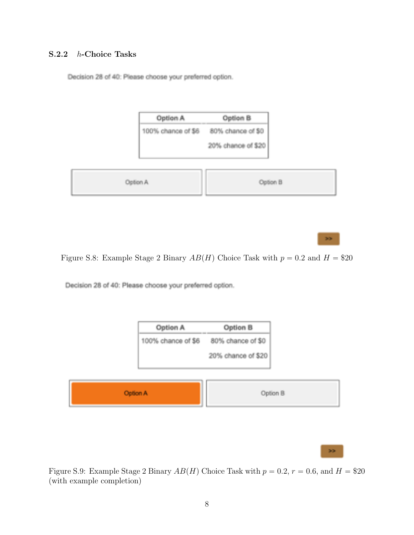#### S.2.2 *h*-Choice Tasks

Decision 28 of 40: Please choose your preferred option.

| Option A           | Option B           |  |
|--------------------|--------------------|--|
| 100% chance of \$6 | 80% chance of \$0  |  |
|                    | 20% chance of \$20 |  |
| Option A           | Option B           |  |

Figure S.8: Example Stage 2 Binary  $AB(H)$  Choice Task with  $p = 0.2$  and  $H = $20$ 

Decision 28 of 40: Please choose your preferred option.



Figure S.9: Example Stage 2 Binary  $AB(H)$  Choice Task with  $p = 0.2$ ,  $r = 0.6$ , and  $H = $20$ (with example completion)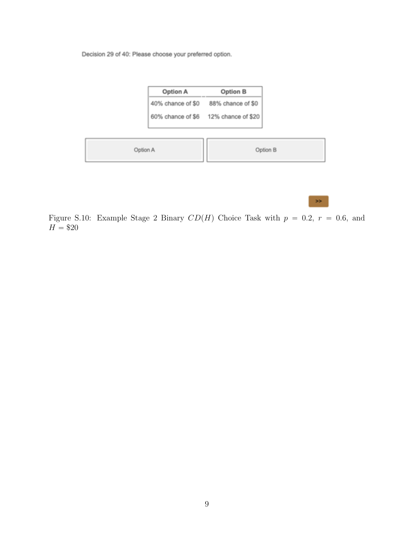Decision 29 of 40: Please choose your preferred option.

| Option A          | Option B           |
|-------------------|--------------------|
| 40% chance of \$0 | 88% chance of \$0  |
| 60% chance of \$6 | 12% chance of \$20 |

| Option B<br>Option A |  |
|----------------------|--|
|----------------------|--|

 $\gg$ 

Figure S.10: Example Stage 2 Binary  $CD(H)$  Choice Task with  $p = 0.2$ ,  $r = 0.6$ , and  $H = \$20$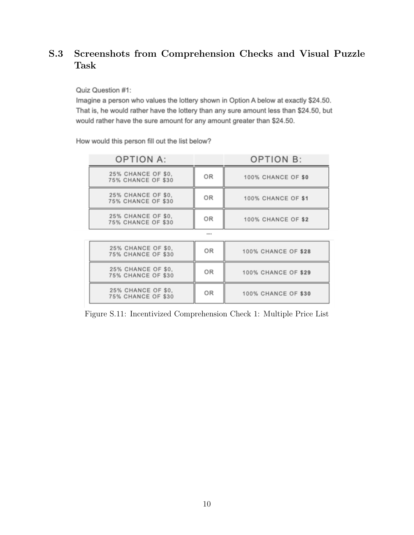### S.3 Screenshots from Comprehension Checks and Visual Puzzle Task

Quiz Question #1:

Imagine a person who values the lottery shown in Option A below at exactly \$24.50. That is, he would rather have the lottery than any sure amount less than \$24.50, but would rather have the sure amount for any amount greater than \$24.50.

How would this person fill out the list below?

| <b>OPTION A:</b>                                |      | <b>OPTION B:</b>          |
|-------------------------------------------------|------|---------------------------|
| 25% CHANCE OF \$0.<br><b>75% CHANCE OF \$30</b> | OR   | <b>100% CHANCE OF \$0</b> |
| 25% CHANCE OF \$0.<br><b>75% CHANCE OF \$30</b> | OR   | <b>100% CHANCE OF \$1</b> |
| 25% CHANCE OF \$0.<br><b>75% CHANCE OF \$30</b> | OR   | <b>100% CHANCE OF \$2</b> |
|                                                 | **** |                           |

| 25% CHANCE OF \$0.<br><b>75% CHANCE OF \$30</b> | OR | 100% CHANCE OF \$28 |
|-------------------------------------------------|----|---------------------|
| 25% CHANCE OF \$0.<br><b>75% CHANCE OF \$30</b> | OR | 100% CHANCE OF \$29 |
| 25% CHANCE OF \$0.<br><b>75% CHANCE OF \$30</b> | OR | 100% CHANCE OF \$30 |

Figure S.11: Incentivized Comprehension Check 1: Multiple Price List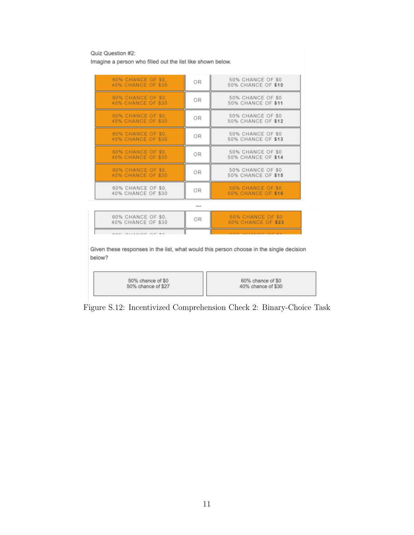Quiz Question #2:

Imagine a person who filled out the list like shown below.

| 60% CHANCE OF \$0.<br>40% CHANCE OF \$30 | OR | 50% CHANCE OF \$0<br>50% CHANCE OF \$10               |  |
|------------------------------------------|----|-------------------------------------------------------|--|
| 60% CHANCE OF \$0.<br>40% CHANCE OF \$30 | OR | 50% CHANCE OF \$0<br>50% CHANCE OF \$11               |  |
| 60% CHANCE OF \$0.<br>40% CHANCE OF \$30 | OR | 50% CHANCE OF \$0<br>50% CHANCE OF \$12               |  |
| 60% CHANCE OF \$0.<br>40% CHANCE OF \$30 | 0R | 50% CHANCE OF \$0<br>50% CHANCE OF \$13               |  |
| 60% CHANCE OF \$0.<br>40% CHANCE OF \$30 | OR | 50% CHANCE OF \$0<br>50% CHANCE OF \$14               |  |
| 60% CHANCE OF \$0.<br>40% CHANCE OF \$30 | OR | 50% CHANCE OF \$0<br>50% CHANCE OF \$15               |  |
| 60% CHANCE OF \$0.<br>40% CHANCE OF \$30 | OR | <b>50% CHANCE OF \$0</b><br><b>50% CHANCE OF \$16</b> |  |
| 1.1.1.1                                  |    |                                                       |  |

| 60% CHANCE OF \$0.<br>40% CHANCE OF \$30 | ΟR | 50% CHANCE OF \$0<br>50% CHANCE OF \$23 |
|------------------------------------------|----|-----------------------------------------|
| ARAI AIISSIAF AF AR                      |    | FAR AILLIAM AF AA                       |

Given these responses in the list, what would this person choose in the single decision below?

| 50% chance of \$0  | 60% chance of \$0  |
|--------------------|--------------------|
| 50% chance of \$27 | 40% chance of \$30 |

Figure S.12: Incentivized Comprehension Check 2: Binary-Choice Task